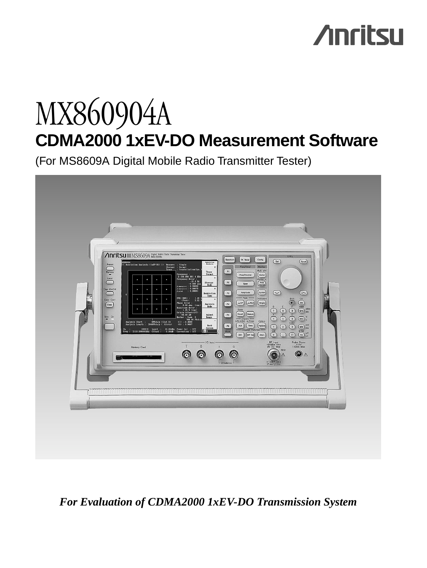# **Anritsu**

# MX860904A **CDMA2000 1xEV-DO Measurement Software**

(For MS8609A Digital Mobile Radio Transmitter Tester)



# *For Evaluation of CDMA2000 1xEV-DO Transmission System*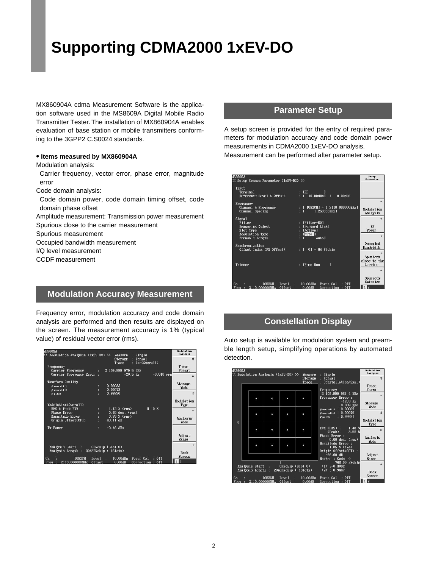# **Supporting CDMA2000 1xEV-DO**

MX860904A cdma Measurement Software is the application software used in the MS8609A Digital Mobile Radio Transmitter Tester.The installation of MX860904A enables evaluation of base station or mobile transmitters conforming to the 3GPP2 C.S0024 standards.

### **• Items measured by MX860904A**

Modulation analysis:

Carrier frequency, vector error, phase error, magnitude error

Code domain analysis:

Code domain power, code domain timing offset, code domain phase offset

Amplitude measurement: Transmission power measurement

Spurious close to the carrier measurement

Spurious measurement

Occupied bandwidth measurement

I/Q level measurement

CCDF measurement

### **Modulation Accuracy Measurement**

Frequency error, modulation accuracy and code domain analysis are performed and then results are displayed on the screen. The measurement accuracy is 1% (typical value) of residual vector error (rms).

| <b>IS8609A</b><br>≪ Modulation Analysis (1xEV-DO) >> | Measure                                              | : Single                   | <b>Modulation</b><br><b>Analysis</b> |
|------------------------------------------------------|------------------------------------------------------|----------------------------|--------------------------------------|
|                                                      | <b>Storage</b><br>Trace                              | : Normal<br>: Non(Overall) | #                                    |
| Frequency<br>Carrier Frequency                       | 2 109.999 979 5 MHz                                  |                            | <b>Trace</b><br>Format               |
| Carrier Frequency Error :                            |                                                      | $-0.010$ ppm<br>$-20.5$ Hz | ×                                    |
| Waveform Quality                                     |                                                      |                            | <b>Storage</b>                       |
| $\rho$ overall-1                                     | 0.99983                                              |                            | Mode:                                |
| $\rho$ overall-2                                     | 0.99978                                              |                            | #                                    |
| Ppilot                                               | 0.99980                                              |                            |                                      |
| Modulation(Overall)                                  |                                                      |                            | Modulation<br>Type                   |
| <b>RMS &amp; Peak EVM</b>                            | $1.12 \times (rms)$                                  | $3.10 \; %$                | $*$                                  |
| <b>Phase Error</b><br>Magnitude Error                | $0.45$ deg. $(rms)$<br>$0.79 \times (r_{25})$        |                            |                                      |
| Origin Offset(CFT)                                   | $-40.11$ dB                                          |                            | Analysis<br>Mode.                    |
| Tx Power                                             | $-0.46$ dBm<br>÷                                     |                            |                                      |
|                                                      |                                                      |                            | Adjust<br>Range                      |
| Analysis Start :                                     | OPNchip (Slot 0)                                     |                            |                                      |
| Analysis Length : 2048PNchip ( 1Slots)               |                                                      |                            |                                      |
|                                                      |                                                      |                            | Back<br>Screen                       |
| c <sub>h</sub><br>1092CH                             | $10.00$ d $Bn$<br>Leve 1<br><b>Contract Contract</b> | Power Cal<br>$:$ Off       |                                      |
| 2110.000000MHz<br>Freq                               | Offset<br>0.00dB                                     | Off<br>Correction          | 12                                   |

### **Parameter Setup**

A setup screen is provided for the entry of required parameters for modulation accuracy and code domain power measurements in CDMA2000 1xEV-DO analysis. Measurement can be performed after parameter setup.



## **Constellation Display**

Auto setup is available for modulation system and preamble length setup, simplifying operations by automated detection.

| <b>IS8609A</b>         | « Modulation Analysis (1xEV-DO) >>                        |        |                  | Measure                 | Single                                                                                  | <b>Hodulation</b><br>Analysis |
|------------------------|-----------------------------------------------------------|--------|------------------|-------------------------|-----------------------------------------------------------------------------------------|-------------------------------|
|                        |                                                           |        |                  | <b>Storage</b><br>Trace | Normal<br>Constellation(Sym.)<br>Frequency :                                            | #<br>Trace<br>Format          |
|                        |                                                           |        |                  |                         | 2 109.999 981 4 MHz<br>Frequency Error :<br>$-18.6$ Hz<br>$-0.009$ ppm                  | ×<br><b>Storage</b><br>Mode   |
| $\boldsymbol{\Omega}$  |                                                           |        |                  |                         | $\rho$ overall-1: $0.99992$<br>$\rho$ overall-2: 0.99979<br>: 0.99981<br>$\rho$ pilot   | #<br>Modulation               |
|                        |                                                           |        |                  |                         | EVM (RMS) :<br>1.48 %<br>$3.52 \times$<br>$(Peak)$ :<br><b>Phase Error</b> :            | Type<br>$*$                   |
|                        |                                                           |        |                  |                         | $0.60$ deg. $(ras)$<br>Magnitude Error :<br>$1.05 \times$ (rms)<br>Origin Offset(CFT) : | Analysis<br>Mode              |
|                        |                                                           |        |                  |                         | $-66.60$ dB<br>Marker : Code 0                                                          | Adjust<br>Range               |
|                        | Analysis Start :<br>Analysis Length : 2048PNchip (1Slots) |        |                  | OPNchip(Slot 0)         | 768.00 PNchip<br>$(1)$ $-0.3092$<br>(0) : 0.9667                                        | $\rightarrow$<br>Back         |
| c <sub>h</sub><br>Freq | 2110.000000MHz                                            | 1092CH | Leve 1<br>Offset | $10.00$ dRm<br>0.00dB   | Power Cal<br>Off<br>Off<br>Correction                                                   | Screen<br>12                  |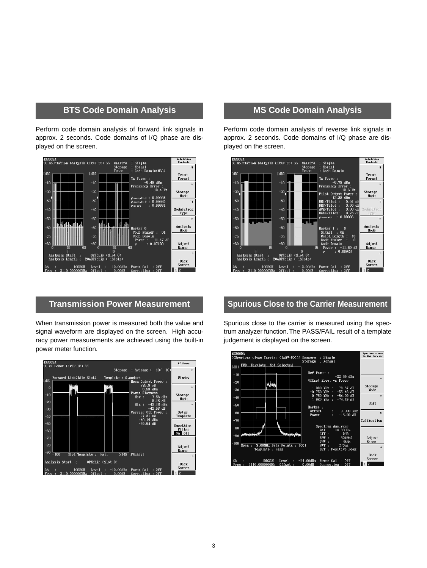### **BTS Code Domain Analysis**

Perform code domain analysis of forward link signals in approx. 2 seconds. Code domains of I/Q phase are displayed on the screen.



## **Transmission Power Measurement**

When transmission power is measured both the value and signal waveform are displayed on the screen. High accuracy power measurements are achieved using the built-in power meter function.



### **MS Code Domain Analysis**

Perform code domain analysis of reverse link signals in approx. 2 seconds. Code domains of I/Q phase are displayed on the screen.



### **Spurious Close to the Carrier Measurement**

Spurious close to the carrier is measured using the spectrum analyzer function.The PASS/FAIL result of a template judgement is displayed on the screen.

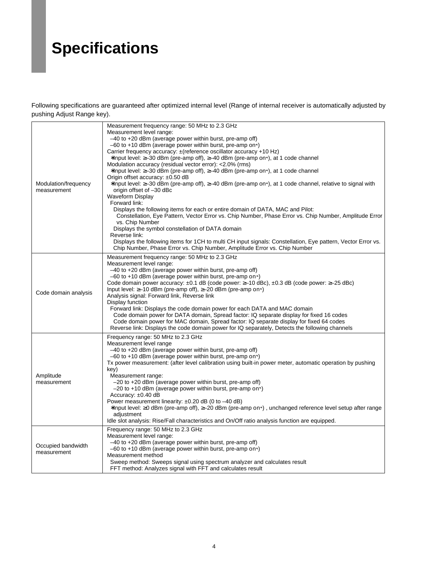# **Specifications**

Following specifications are guaranteed after optimized internal level (Range of internal receiver is automatically adjusted by pushing Adjust Range key).

| Modulation/frequency<br>measurement | Measurement frequency range: 50 MHz to 2.3 GHz<br>Measurement level range:<br>$-40$ to $+20$ dBm (average power within burst, pre-amp off)<br>$-60$ to $+10$ dBm (average power within burst, pre-amp on <sup>-1</sup> )<br>Carrier frequency accuracy: $\pm$ (reference oscillator accuracy +10 Hz)<br>*lnput level: $\geq$ -30 dBm (pre-amp off), $\geq$ -40 dBm (pre-amp on <sup>-1</sup> ), at 1 code channel<br>Modulation accuracy (residual vector error): <2.0% (rms)<br>*lnput level: $\geq$ -30 dBm (pre-amp off), $\geq$ -40 dBm (pre-amp on <sup>-1</sup> ), at 1 code channel<br>Origin offset accuracy: ±0.50 dB<br>*Input level: ≥–30 dBm (pre-amp off), ≥–40 dBm (pre-amp on ), at 1 code channel, relative to signal with<br>origin offset of -30 dBc<br><b>Waveform Display</b><br>Forward link:<br>Displays the following items for each or entire domain of DATA, MAC and Pilot:<br>Constellation, Eye Pattern, Vector Error vs. Chip Number, Phase Error vs. Chip Number, Amplitude Error<br>vs. Chip Number<br>Displays the symbol constellation of DATA domain<br>Reverse link:<br>Displays the following items for 1CH to multi CH input signals: Constellation, Eye pattern, Vector Error vs.<br>Chip Number, Phase Error vs. Chip Number, Amplitude Error vs. Chip Number |
|-------------------------------------|-----------------------------------------------------------------------------------------------------------------------------------------------------------------------------------------------------------------------------------------------------------------------------------------------------------------------------------------------------------------------------------------------------------------------------------------------------------------------------------------------------------------------------------------------------------------------------------------------------------------------------------------------------------------------------------------------------------------------------------------------------------------------------------------------------------------------------------------------------------------------------------------------------------------------------------------------------------------------------------------------------------------------------------------------------------------------------------------------------------------------------------------------------------------------------------------------------------------------------------------------------------------------------------------------------|
| Code domain analysis                | Measurement frequency range: 50 MHz to 2.3 GHz<br>Measurement level range:<br>$-40$ to $+20$ dBm (average power within burst, pre-amp off)<br>$-60$ to $+10$ dBm (average power within burst, pre-amp on <sup>-1</sup> )<br>Code domain power accuracy: $\pm 0.1$ dB (code power: $\geq -10$ dBc), $\pm 0.3$ dB (code power: $\geq -25$ dBc)<br>Input level: $\geq -10$ dBm (pre-amp off), $\geq -20$ dBm (pre-amp on <sup>-1</sup> )<br>Analysis signal: Forward link, Reverse link<br>Display function<br>Forward link: Displays the code domain power for each DATA and MAC domain<br>Code domain power for DATA domain, Spread factor: IQ separate display for fixed 16 codes<br>Code domain power for MAC domain, Spread factor: IQ separate display for fixed 64 codes<br>Reverse link: Displays the code domain power for IQ separately, Detects the following channels                                                                                                                                                                                                                                                                                                                                                                                                                      |
| Amplitude<br>measurement            | Frequency range: 50 MHz to 2.3 GHz<br>Measurement level range<br>$-40$ to $+20$ dBm (average power within burst, pre-amp off)<br>$-60$ to $+10$ dBm (average power within burst, pre-amp on <sup>-1</sup> )<br>Tx power measurement: (after level calibration using built-in power meter, automatic operation by pushing<br>key)<br>Measurement range:<br>$-20$ to $+20$ dBm (average power within burst, pre-amp off)<br>$-20$ to +10 dBm (average power within burst, pre-amp on <sup>-1</sup> )<br>Accuracy: $\pm 0.40$ dB<br>Power measurement linearity: $\pm 0.20$ dB (0 to $-40$ dB)<br>*Input level: ≥0 dBm (pre-amp off), ≥–20 dBm (pre-amp on $\cdot$ ), unchanged reference level setup after range<br>adjustment<br>Idle slot analysis: Rise/Fall characteristics and On/Off ratio analysis function are equipped.                                                                                                                                                                                                                                                                                                                                                                                                                                                                      |
| Occupied bandwidth<br>measurement   | Frequency range: 50 MHz to 2.3 GHz<br>Measurement level range:<br>$-40$ to $+20$ dBm (average power within burst, pre-amp off)<br>-60 to +10 dBm (average power within burst, pre-amp on*1)<br>Measurement method<br>Sweep method: Sweeps signal using spectrum analyzer and calculates result<br>FFT method: Analyzes signal with FFT and calculates result                                                                                                                                                                                                                                                                                                                                                                                                                                                                                                                                                                                                                                                                                                                                                                                                                                                                                                                                        |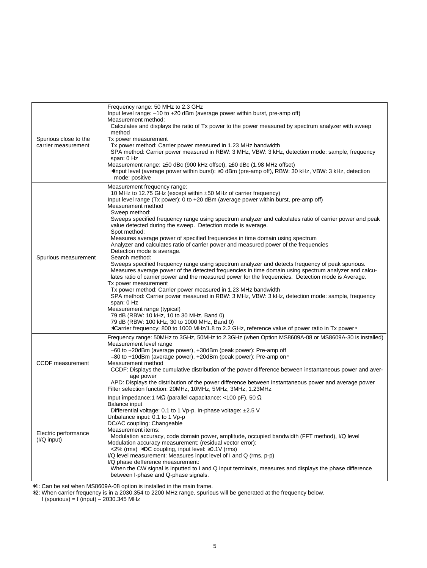| Spurious close to the<br>carrier measurement | Frequency range: 50 MHz to 2.3 GHz<br>Input level range: $-10$ to $+20$ dBm (average power within burst, pre-amp off)<br>Measurement method:<br>Calculates and displays the ratio of Tx power to the power measured by spectrum analyzer with sweep<br>method<br>Tx power measurement<br>Tx power method: Carrier power measured in 1.23 MHz bandwidth<br>SPA method: Carrier power measured in RBW: 3 MHz, VBW: 3 kHz, detection mode: sample, frequency<br>span: 0 Hz<br>Measurement range: ≥50 dBc (900 kHz offset), ≥60 dBc (1.98 MHz offset)<br>*Input level (average power within burst): ≥0 dBm (pre-amp off), RBW: 30 kHz, VBW: 3 kHz, detection<br>mode: positive                                                                                                                                                                                                                                                                                                                                                                                                                                                                                                                                                                                                                                                                                                                                                 |
|----------------------------------------------|----------------------------------------------------------------------------------------------------------------------------------------------------------------------------------------------------------------------------------------------------------------------------------------------------------------------------------------------------------------------------------------------------------------------------------------------------------------------------------------------------------------------------------------------------------------------------------------------------------------------------------------------------------------------------------------------------------------------------------------------------------------------------------------------------------------------------------------------------------------------------------------------------------------------------------------------------------------------------------------------------------------------------------------------------------------------------------------------------------------------------------------------------------------------------------------------------------------------------------------------------------------------------------------------------------------------------------------------------------------------------------------------------------------------------|
| Spurious measurement                         | Measurement frequency range:<br>10 MHz to 12.75 GHz (except within ±50 MHz of carrier frequency)<br>Input level range (Tx power): 0 to +20 dBm (average power within burst, pre-amp off)<br>Measurement method<br>Sweep method:<br>Sweeps specified frequency range using spectrum analyzer and calculates ratio of carrier power and peak<br>value detected during the sweep. Detection mode is average.<br>Spot method:<br>Measures average power of specified frequencies in time domain using spectrum<br>Analyzer and calculates ratio of carrier power and measured power of the frequencies<br>Detection mode is average.<br>Search method:<br>Sweeps specified frequency range using spectrum analyzer and detects frequency of peak spurious.<br>Measures average power of the detected frequencies in time domain using spectrum analyzer and calcu-<br>lates ratio of carrier power and the measured power for the frequencies. Detection mode is Average.<br>Tx power measurement<br>Tx power method: Carrier power measured in 1.23 MHz bandwidth<br>SPA method: Carrier power measured in RBW: 3 MHz, VBW: 3 kHz, detection mode: sample, frequency<br>span: 0 Hz<br>Measurement range (typical)<br>79 dB (RBW: 10 kHz, 10 to 30 MHz, Band 0)<br>79 dB (RBW: 100 kHz, 30 to 1000 MHz, Band 0)<br>*Carrier frequency: 800 to 1000 MHz/1.8 to 2.2 GHz, reference value of power ratio in Tx power <sup>2</sup> |
| <b>CCDF</b> measurement                      | Frequency range: 50MHz to 3GHz, 50MHz to 2.3GHz (when Option MS8609A-08 or MS8609A-30 is installed)<br>Measurement level range<br>-60 to +20dBm (average power), +30dBm (peak power): Pre-amp off<br>-80 to +10dBm (average power), +20dBm (peak power): Pre-amp on -<br>Measurement method<br>CCDF: Displays the cumulative distribution of the power difference between instantaneous power and aver-<br>age power<br>APD: Displays the distribution of the power difference between instantaneous power and average power<br>Filter selection function: 20MHz, 10MHz, 5MHz, 3MHz, 1.23MHz                                                                                                                                                                                                                                                                                                                                                                                                                                                                                                                                                                                                                                                                                                                                                                                                                               |
| Electric performance<br>(I/Q input)          | Input impedance: 1 M $\Omega$ (parallel capacitance: <100 pF), 50 $\Omega$<br>Balance input<br>Differential voltage: 0.1 to 1 Vp-p, In-phase voltage: ±2.5 V<br>Unbalance input: 0.1 to 1 Vp-p<br>DC/AC coupling: Changeable<br>Measurement items:<br>Modulation accuracy, code domain power, amplitude, occupied bandwidth (FFT method), I/Q level<br>Modulation accuracy measurement: (residual vector error):<br><2% (rms) *DC coupling, input level: ≥0.1V (rms)<br>I/Q level measurement: Measures input level of I and Q (rms, p-p)<br>I/Q phase defference measurement:<br>When the CW signal is inputted to I and Q input terminals, measures and displays the phase difference<br>between I-phase and Q-phase signals.                                                                                                                                                                                                                                                                                                                                                                                                                                                                                                                                                                                                                                                                                            |

∗1: Can be set when MS8609A-08 option is installed in the main frame.

∗2: When carrier frequency is in a 2030.354 to 2200 MHz range, spurious will be generated at the frequency below.

f (spurious) = f (input) – 2030.345 MHz